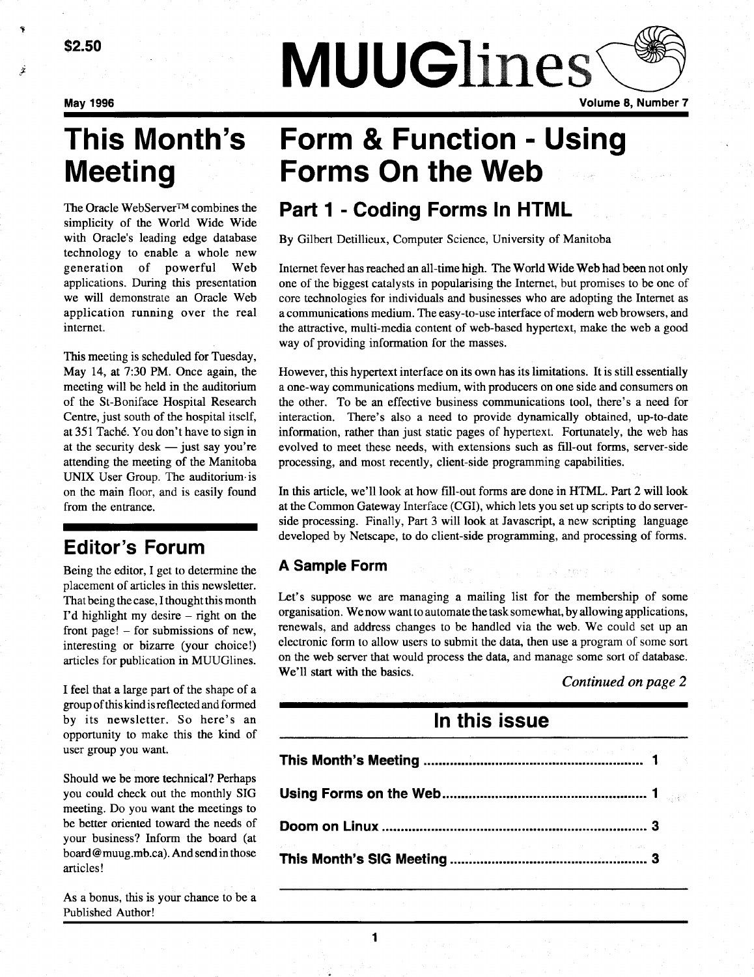May 1996

# Meeting

The Oracle WebServer™ combines the simplicity of the World Wide Wide with Oracle's leading edge database technology to enable a whole new generation of powerful Web applications . During this presentation we will demonstrate an Oracle Web application running over the real internet.

This meeting is scheduled for Tuesday, May 14, at 7:30 PM. Once again, the meeting will be held in the auditorium of the St-Boniface Hospital Research Centre, just south of the hospital itself, at 351 Taché. You don't have to sign in at the security desk  $-$  just say you're attending the meeting of the Manitoba UNIX User Group. The auditorium is on the main floor, and is easily found from the entrance.

## Editor's Forum

Being the editor, I get to determine the placement of articles in this newsletter. That being the case, I thought this month I'd highlight my desire  $-$  right on the front page! - for submissions of new, interesting or bizarre (your choice!) articles for publication in MUUGlines .

I feel that a large part of the shape of a group of this kind is reflected and formed by its newsletter. So here's an opportunity to make this the kind of user group you want.

Should we be more technical? Perhaps you could check out the monthly SIG meeting. Do you want the meetings to be better oriented toward the needs of your business? Inform the board (at board @ muug.mb.ca) . And send in those articles !

As a bonus, this is your chance to be a Published Author!

## This Month's Form & Function - Using Forms On the Web

**MUUGlines** 

## Part 1 - Coding Forms In HTML

By Gilbert Detillieux, Computer Science, University of Manitoba

Internet fever has reached an all-time high . The World Wide Web had been not only one of the biggest catalysts in popularising the Internet, but promises to be one of core technologies for individuals and businesses who are adopting the Internet as a communications medium . The easy-to-use interface of modern web browsers, and the attractive, multi-media content of web-based hypertext, make the web a good way of providing information for the masses.

However, this hypertext interface on its own has its limitations . It is still essentially a one-way communications medium, with producers on one side and consumers on the other. To be an effective business communications tool, there's a need for interaction. There's also a need to provide dynamically obtained, up-to-date information, rather than just static pages of hypertext. Fortunately, the web has evolved to meet these needs, with extensions such as fill-out forms, server-side processing, and most recently, client-side programming capabilities .

In this article, we'll look at how fill-out forms are done in HTML . Part 2 will look at the Common Gateway Interface (CGI), which lets you set up scripts to do serverside processing. Finally, Part 3 will look at Javascript, a new scripting language developed by Netscape, to do client-side programming, and processing of forms.

## A Sample Form

Let's suppose we are managing a mailing list for the membership of some organisation. We now want to automate the task somewhat, by allowing applications, renewals, and address changes to be handled via the web . We could set up an electronic form to allow users to submit the data, then use a program of some sort on the web server that would process the data, and manage some sort of database . We'll start with the basics.

### Continued on page 2

Volume 8, Number 7

## In this issue

| organisation. We now want to automate the task somewhat, by allowing application<br>renewals, and address changes to be handled via the web. We could set up a<br>electronic form to allow users to submit the data, then use a program of some so<br>on the web server that would process the data, and manage some sort of database<br>We'll start with the basics. |                                     |
|-----------------------------------------------------------------------------------------------------------------------------------------------------------------------------------------------------------------------------------------------------------------------------------------------------------------------------------------------------------------------|-------------------------------------|
|                                                                                                                                                                                                                                                                                                                                                                       | Continued on page.<br>In this issue |
|                                                                                                                                                                                                                                                                                                                                                                       |                                     |
|                                                                                                                                                                                                                                                                                                                                                                       |                                     |
|                                                                                                                                                                                                                                                                                                                                                                       |                                     |
|                                                                                                                                                                                                                                                                                                                                                                       |                                     |
|                                                                                                                                                                                                                                                                                                                                                                       |                                     |
|                                                                                                                                                                                                                                                                                                                                                                       |                                     |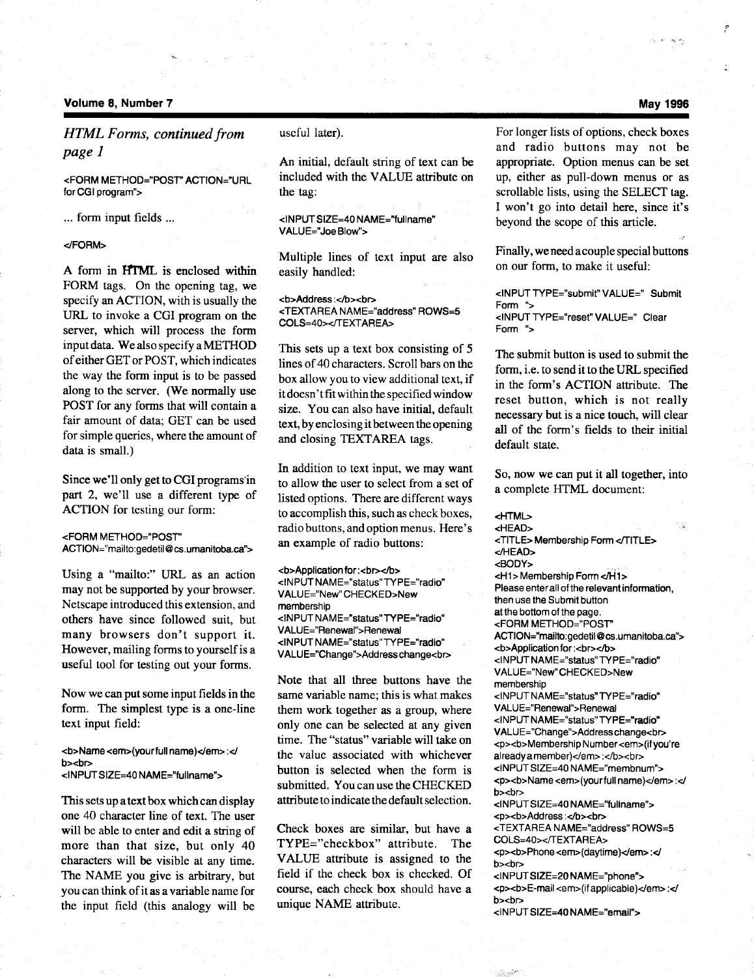#### Volume 8, Number 7

HTML Forms, continued from page 1

<FORM METHOD="POST" ACTION="URL for CGI program">

... form input fields ...

</FORM>

A form in HTML is enclosed within FORM tags. On the opening tag, we specify an ACTION, with is usually the URL to invoke a CGI program on the server, which will process the form input data. We also specify a METHOD of either GET or POST, which indicates the way the form input is to be passed along to the server. (We normally use POST for any forms that will contain a fair amount of data; GET can be used for simple queries, where the amount of data is small.)

Since we'll only get to CGI programs in part 2, we'll use a different type of ACTION for testing our form:

<FORM METHOD="POST" ACTION="mailto:gedetil@cs.umanitoba.ca">

Using a "mailto:" URL as an action may not be supported by your browser . Netscape introduced this extension, and others have since followed suit, but many browsers don't support it. However, mailing forms to yourself is a useful tool for testing out your forms.

Now we can put some input fields in the form. The simplest type is a one-line text input field:

<b>Name <em>(yourfull name)</em> :</ b><br> <INPUT SIZE=40 NAME="fullname">

This sets up a text box which can display one 40 character line of text. The user will be able to enter and edit a string of more than that size, but only 40 characters will be visible at any time. The NAME you give is arbitrary, but you can think of it as a variable name for the input field (this analogy will be useful later).

An initial, default string of text can be included with the VALUE attribute on the tag:

```
<INPUT SIZE=40 NAME="fullname"
VALUE="Joe Blow">
```
Multiple lines of text input are also easily handled:

**Address:**</b><br/>>> <TEXTAREA NAME="address" ROWS=5 COLS=40></TEXTAREA>

This sets up a text box consisting of 5 lines of 40 characters. Scroll bars on the box allow you to view additional text, if it doesn't fit within the specified window size. You can also have initial, default text, by enclosing it between the opening and closing TEXTAREA tags.

In addition to text input, we may want to allow the user to select from a set of listed options. There are different ways to accomplish this, such as check boxes, radio buttons, and option menus. Here's an example of radio buttons:

<b>Application for :<br></b> <INPUT NAME="status" TYPE="radio" VALUE="New"CHECKED>New membership <INPUT NAME="status" TYPE="radio" VALUE="Renewal">Renewal <INPUT NAME="status" TYPE="radio" VALUE="Change">Address change<br>

Note that all three buttons have the same variable name; this is what makes them work together as a group, where only one can be selected at any given time. The "status" variable will take on the value associated with whichever button is selected when the form is submitted. You can use the CHECKED attribute to indicate the default selection .

Check boxes are similar, but have a TYPE="checkbox" attribute. The VALUE attribute is assigned to the field if the check box is checked. Of course, each check box should have a unique NAME attribute.

For longer lists of options, check boxes and radio buttons may not be appropriate. Option menus can be set up, either as pull-down menus or as scrollable lists, using the SELECT tag. I won't go into detail here, since it's beyond the scope of this article.

Finally, we need a couple special buttons on our form, to make it useful:

<INPUT TYPE="submit" VALUE=" Submit Form "> <INPUT TYPE="reset" VALUE=" Clear Form ">

The submit button is used to submit the form, i.e. to send it to the URL specified in the form's ACTION attribute. The reset button, which is not really necessary but is a nice touch, will clear all of the form's fields to their initial default state.

So, now we can put it all together, into a complete HTML document:

<HTML> <HEAD> <TITLE> Membership Form <TITLE> </HEAD> <BODY> <H1> Membership Form</H1> Please enter all of the relevant information, then use the Submit button at the bottom of the page . <FORM METHOD="POST" ACTION="mailto:gedetil@cs.umanitoba.ca"> <b>Application for :<br></b> <INPUT NAME="status" TYPE="radio" VALUE="New"CHECKED>New membership <INPUT NAME="status" TYPE="radio" VALUE="Renewal">Renewal <INPUT NAME="status" TYPE="radio" VALUE="Change">Addresschange<br> <p><b>Membership Number <em>(ifyou're already a member)</em>:</b><br> <INPUT SIZE=40 NAME="membnum"> <p><b>Name <em>(yourfull name)</em> :</ b><br> <INPUTSIZE=40 NAME="fullname"> <p><b>Address :</b><br> <TEXTAREA NAME="address" ROWS=5 COLS=40></TEXTAREA> <p><br />b>Phone <em>(daytime)</em> :</ b><br> <INPUT SIZE=20 NAME="phone"> <p><br />b>E-mail <em>(if applicable)</em>:</ b><br> <INPUT SIZE=40 NAME="email">

#### May 1996

يطريعا الحارب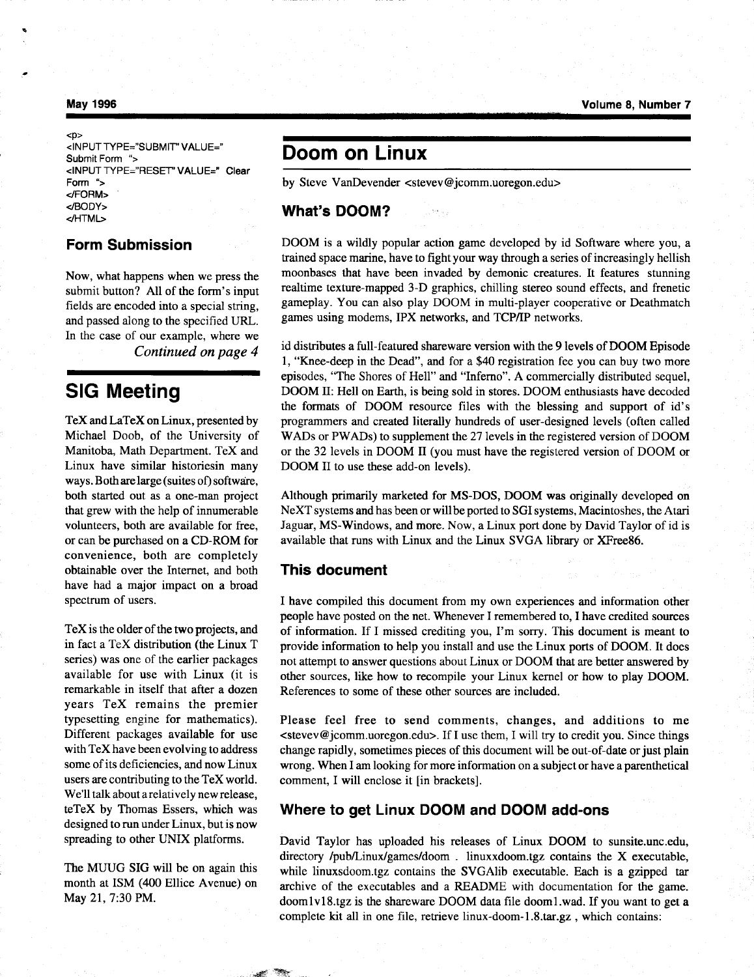#### May 1996

 $<$ D $>$ <INPUT TYPE="SUBMIT' VALUE=" Submit Form "> <INPUT TYPE="RESET" VALUE=" Clear Form "> </FORM> </BODY> </HTML>

## Form Submission

Now, what happens when we press the submit button? All of the form's input fields are encoded into a special string, and passed along to the specified URL. In the case of our example, where we Continued on page 4

## SIG Meeting

TeX and LaTeX on Linux, presented by Michael Doob, of the University of Manitoba, Math Department. TeX and Linux have similar historiesin many ways. Both are large (suites of) software, both started out as a one-man project that grew with the help of innumerable volunteers, both are available for free, or can be purchased on a CD-ROM for convenience, both are completely obtainable over the Internet, and both have had a major impact on a broad spectrum of users.

TeX is the older of the two projects, and in fact a TeX distribution (the Linux T series) was one of the earlier packages available for use with Linux (it is remarkable in itself that after a dozen years TeX remains the premier typesetting engine for mathematics). Different packages available for use with TeX have been evolving to address some of its deficiencies, and now Linux users are contributing to the TeX world. We'll talk about a relatively new release, teTeX by Thomas Essers, which was designed to run under Linux, but is now spreading to other UNIX platforms.

The MUUG SIG will be on again this month at ISM (400 Ellice Avenue) on May 21, 7:30 PM.

## Doom on Linux

by Steve VanDevender <stevev@jcomm.uoregon.edu>

## What's DOOM?

DOOM is a wildly popular action game developed by id Software where you, a trained space marine, have to fight your way through a series of increasingly hellish moonbases that have been invaded by demonic creatures . It features stunning realtime texture-mapped 3-D graphics, chilling stereo sound effects, and frenetic gameplay. You can also play DOOM in multi-player cooperative or Deathwatch games using modems, IPX networks, and TCP/IP networks .

id distributes a full-featured shareware version with the 9 levels of DOOM Episode 1, "Knee-deep in the Dead", and for a \$40 registration fee you can buy two more episodes, "The Shores of Hell" and "Inferno" . A commercially distributed sequel, DOOM II: Hell on Earth, is being sold in stores . DOOM enthusiasts have decoded the formats of DOOM resource files with the blessing and support of id's programmers and created literally hundreds of user-designed levels (often called WADs or PWADs) to supplement the 27 levels in the registered version of DOOM or the 32 levels in DOOM II (you must have the registered version of DOOM or DOOM II to use these add-on levels).

Although primarily marketed for MS-DOS, DOOM was originally developed on NeXT systems and has been or will be ported to SGI systems, Macintoshes, the Atari Jaguar, MS-Windows, and more . Now, a Linux port done by David Taylor of id is available that runs with Linux and the Linux SVGA library or XFree86.

## This document

I have compiled this document from my own experiences and information other people have posted on the net . Whenever I remembered to, I have credited sources of information . If I missed crediting you, I'm sorry . This document is meant to provide information to help you install and use the Linux ports of DOOM. It does not attempt to answer questions about Linux or DOOM that are better answered by other sources, like how to recompile your Linux kernel or how to play DOOM. References to some of these other sources are included.

Please feel free to send comments, changes, and additions to me  $\leq$ stevev@jcomm.uoregon.edu $>$ . If I use them, I will try to credit you. Since things change rapidly, sometimes pieces of this document will be out-of-date or just plain wrong. When I am looking for more information on a subject or have a parenthetical comment, I will enclose it [in brackets].

## Where to get Linux DOOM and DOOM add-ons

David Taylor has uploaded his releases of Linux DOOM to sunsite.unc.edu, directory /pub/Linux/games/doom . linuxxdoom.tgz contains the X executable, while linuxsdoom.tgz contains the SVGAlib executable. Each is a gzipped tar archive of the executables and a README with documentation for the game . doomlvl8.tgz is the shareware DOOM data file doom1 .wad. If you want to get a complete kit all in one file, retrieve linux-doom-1.8 .tar .gz, which contains: